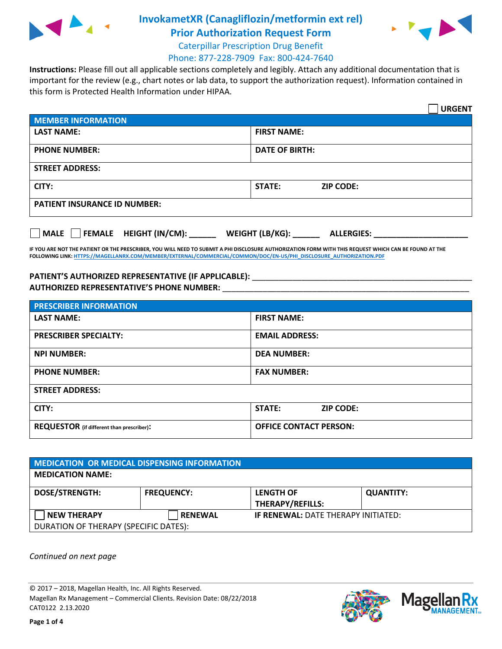

## **InvokametXR (Canagliflozin/metformin ext rel)**



**Prior Authorization Request Form** Caterpillar Prescription Drug Benefit

## Phone: 877-228-7909 Fax: 800-424-7640

**Instructions:** Please fill out all applicable sections completely and legibly. Attach any additional documentation that is important for the review (e.g., chart notes or lab data, to support the authorization request). Information contained in this form is Protected Health Information under HIPAA.

|                                     |                       |                  | <b>URGENT</b> |
|-------------------------------------|-----------------------|------------------|---------------|
| <b>MEMBER INFORMATION</b>           |                       |                  |               |
| <b>LAST NAME:</b>                   | <b>FIRST NAME:</b>    |                  |               |
| <b>PHONE NUMBER:</b>                | <b>DATE OF BIRTH:</b> |                  |               |
| <b>STREET ADDRESS:</b>              |                       |                  |               |
| CITY:                               | <b>STATE:</b>         | <b>ZIP CODE:</b> |               |
| <b>PATIENT INSURANCE ID NUMBER:</b> |                       |                  |               |
|                                     |                       |                  |               |

| <b>MALE</b> | FEMALE HEIGHT (IN/CM): | <b>WEIGHT (LB/KG):</b> | <b>ALLERGIES:</b> |
|-------------|------------------------|------------------------|-------------------|
|             |                        |                        |                   |

**IF YOU ARE NOT THE PATIENT OR THE PRESCRIBER, YOU WILL NEED TO SUBMIT A PHI DISCLOSURE AUTHORIZATION FORM WITH THIS REQUEST WHICH CAN BE FOUND AT THE FOLLOWING LINK[: HTTPS://MAGELLANRX.COM/MEMBER/EXTERNAL/COMMERCIAL/COMMON/DOC/EN-US/PHI\\_DISCLOSURE\\_AUTHORIZATION.PDF](https://magellanrx.com/member/external/commercial/common/doc/en-us/PHI_Disclosure_Authorization.pdf)**

## PATIENT'S AUTHORIZED REPRESENTATIVE (IF APPLICABLE): \_\_\_\_\_\_\_\_\_\_\_\_\_\_\_\_\_\_\_\_\_\_\_\_\_\_\_\_ **AUTHORIZED REPRESENTATIVE'S PHONE NUMBER:** \_\_\_\_\_\_\_\_\_\_\_\_\_\_\_\_\_\_\_\_\_\_\_\_\_\_\_\_\_\_\_\_\_\_\_\_\_\_\_\_\_\_\_\_\_\_\_\_\_\_\_\_\_\_\_

| <b>PRESCRIBER INFORMATION</b>             |                                   |  |
|-------------------------------------------|-----------------------------------|--|
| <b>LAST NAME:</b>                         | <b>FIRST NAME:</b>                |  |
| <b>PRESCRIBER SPECIALTY:</b>              | <b>EMAIL ADDRESS:</b>             |  |
| <b>NPI NUMBER:</b>                        | <b>DEA NUMBER:</b>                |  |
| <b>PHONE NUMBER:</b>                      | <b>FAX NUMBER:</b>                |  |
| <b>STREET ADDRESS:</b>                    |                                   |  |
| CITY:                                     | <b>STATE:</b><br><b>ZIP CODE:</b> |  |
| REQUESTOR (if different than prescriber): | <b>OFFICE CONTACT PERSON:</b>     |  |

| <b>MEDICATION OR MEDICAL DISPENSING INFORMATION</b> |                   |                                             |                  |
|-----------------------------------------------------|-------------------|---------------------------------------------|------------------|
| <b>MEDICATION NAME:</b>                             |                   |                                             |                  |
| <b>DOSE/STRENGTH:</b>                               | <b>FREQUENCY:</b> | <b>LENGTH OF</b><br><b>THERAPY/REFILLS:</b> | <b>QUANTITY:</b> |
| <b>NEW THERAPY</b>                                  | <b>RENEWAL</b>    | <b>IF RENEWAL: DATE THERAPY INITIATED:</b>  |                  |
| DURATION OF THERAPY (SPECIFIC DATES):               |                   |                                             |                  |

*Continued on next page*

© 2017 – 2018, Magellan Health, Inc. All Rights Reserved. Magellan Rx Management – Commercial Clients. Revision Date: 08/22/2018 CAT0122 2.13.2020

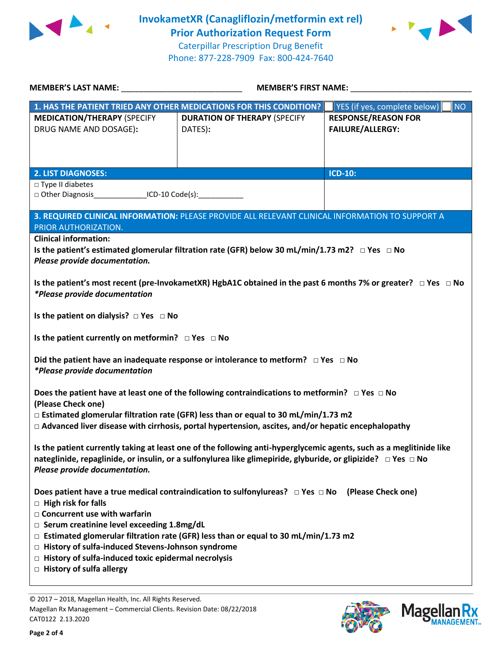

**InvokametXR (Canagliflozin/metformin ext rel) Prior Authorization Request Form**

Caterpillar Prescription Drug Benefit Phone: 877-228-7909 Fax: 800-424-7640



| <b>MEMBER'S LAST NAME:</b>                                                                                                                                                                                                                                            | <b>MEMBER'S FIRST NAME:</b>                                                                                                              |                                                       |  |
|-----------------------------------------------------------------------------------------------------------------------------------------------------------------------------------------------------------------------------------------------------------------------|------------------------------------------------------------------------------------------------------------------------------------------|-------------------------------------------------------|--|
|                                                                                                                                                                                                                                                                       | 1. HAS THE PATIENT TRIED ANY OTHER MEDICATIONS FOR THIS CONDITION?                                                                       | YES (if yes, complete below)<br><b>NO</b>             |  |
| <b>MEDICATION/THERAPY (SPECIFY</b><br>DRUG NAME AND DOSAGE):                                                                                                                                                                                                          | <b>DURATION OF THERAPY (SPECIFY</b><br>DATES):                                                                                           | <b>RESPONSE/REASON FOR</b><br><b>FAILURE/ALLERGY:</b> |  |
| <b>2. LIST DIAGNOSES:</b>                                                                                                                                                                                                                                             |                                                                                                                                          | <b>ICD-10:</b>                                        |  |
| □ Type II diabetes<br>$ICD-10 Code(s):$<br>□ Other Diagnosis                                                                                                                                                                                                          |                                                                                                                                          |                                                       |  |
| PRIOR AUTHORIZATION.                                                                                                                                                                                                                                                  | 3. REQUIRED CLINICAL INFORMATION: PLEASE PROVIDE ALL RELEVANT CLINICAL INFORMATION TO SUPPORT A                                          |                                                       |  |
| <b>Clinical information:</b><br>Is the patient's estimated glomerular filtration rate (GFR) below 30 mL/min/1.73 m2? $\Box$ Yes $\Box$ No<br>Please provide documentation.                                                                                            |                                                                                                                                          |                                                       |  |
| *Please provide documentation                                                                                                                                                                                                                                         | Is the patient's most recent (pre-InvokametXR) HgbA1C obtained in the past 6 months 7% or greater? $\Box$ Yes $\Box$ No                  |                                                       |  |
| Is the patient on dialysis? $\Box$ Yes $\Box$ No                                                                                                                                                                                                                      |                                                                                                                                          |                                                       |  |
| Is the patient currently on metformin? $\Box$ Yes $\Box$ No                                                                                                                                                                                                           |                                                                                                                                          |                                                       |  |
| Did the patient have an inadequate response or intolerance to metform? $\Box$ Yes $\Box$ No<br><i>*Please provide documentation</i>                                                                                                                                   |                                                                                                                                          |                                                       |  |
| Does the patient have at least one of the following contraindications to metformin? $\Box$ Yes $\Box$ No<br>(Please Check one)                                                                                                                                        |                                                                                                                                          |                                                       |  |
| $\Box$ Estimated glomerular filtration rate (GFR) less than or equal to 30 mL/min/1.73 m2<br>$\Box$ Advanced liver disease with cirrhosis, portal hypertension, ascites, and/or hepatic encephalopathy                                                                |                                                                                                                                          |                                                       |  |
| Is the patient currently taking at least one of the following anti-hyperglycemic agents, such as a meglitinide like<br>nateglinide, repaglinide, or insulin, or a sulfonylurea like glimepiride, glyburide, or glipizide? □ Yes □ No<br>Please provide documentation. |                                                                                                                                          |                                                       |  |
| Does patient have a true medical contraindication to sulfonylureas? $\Box$ Yes $\Box$ No (Please Check one)<br>$\Box$ High risk for falls                                                                                                                             |                                                                                                                                          |                                                       |  |
| $\Box$ Concurrent use with warfarin                                                                                                                                                                                                                                   |                                                                                                                                          |                                                       |  |
|                                                                                                                                                                                                                                                                       | □ Serum creatinine level exceeding 1.8mg/dL<br>$\Box$ Estimated glomerular filtration rate (GFR) less than or equal to 30 mL/min/1.73 m2 |                                                       |  |
| □ History of sulfa-induced Stevens-Johnson syndrome                                                                                                                                                                                                                   |                                                                                                                                          |                                                       |  |
| $\Box$ History of sulfa-induced toxic epidermal necrolysis                                                                                                                                                                                                            |                                                                                                                                          |                                                       |  |
| $\Box$ History of sulfa allergy                                                                                                                                                                                                                                       |                                                                                                                                          |                                                       |  |

© 2017 – 2018, Magellan Health, Inc. All Rights Reserved.

Magellan Rx Management – Commercial Clients. Revision Date: 08/22/2018 CAT0122 2.13.2020



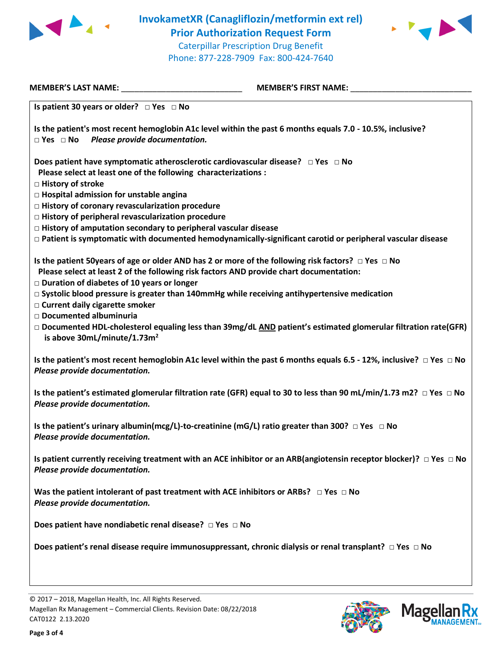

**InvokametXR (Canagliflozin/metformin ext rel) Prior Authorization Request Form** Caterpillar Prescription Drug Benefit Phone: 877-228-7909 Fax: 800-424-7640



| <b>MEMBER'S LAST NAME:</b>                                                             | <b>MEMBER'S FIRST NAME:</b>                                                                                                  |
|----------------------------------------------------------------------------------------|------------------------------------------------------------------------------------------------------------------------------|
| Is patient 30 years or older? $\Box$ Yes $\Box$ No                                     |                                                                                                                              |
| $\Box$ Yes $\Box$ No<br>Please provide documentation.                                  | Is the patient's most recent hemoglobin A1c level within the past 6 months equals 7.0 - 10.5%, inclusive?                    |
| Please select at least one of the following characterizations :<br>□ History of stroke | Does patient have symptomatic atherosclerotic cardiovascular disease? $\Box$ Yes $\Box$ No                                   |
| □ Hospital admission for unstable angina                                               |                                                                                                                              |
| □ History of coronary revascularization procedure                                      |                                                                                                                              |
| □ History of peripheral revascularization procedure                                    |                                                                                                                              |
| $\Box$ History of amputation secondary to peripheral vascular disease                  |                                                                                                                              |
|                                                                                        | $\Box$ Patient is symptomatic with documented hemodynamically-significant carotid or peripheral vascular disease             |
|                                                                                        | Is the patient 50years of age or older AND has 2 or more of the following risk factors? $\Box$ Yes $\Box$ No                 |
| □ Duration of diabetes of 10 years or longer                                           | Please select at least 2 of the following risk factors AND provide chart documentation:                                      |
|                                                                                        | $\Box$ Systolic blood pressure is greater than 140mmHg while receiving antihypertensive medication                           |
| □ Current daily cigarette smoker                                                       |                                                                                                                              |
| □ Documented albuminuria                                                               | $\Box$ Documented HDL-cholesterol equaling less than 39mg/dL AND patient's estimated glomerular filtration rate(GFR)         |
| is above 30mL/minute/1.73m <sup>2</sup>                                                |                                                                                                                              |
| Please provide documentation.                                                          | Is the patient's most recent hemoglobin A1c level within the past 6 months equals 6.5 - 12%, inclusive? $\Box$ Yes $\Box$ No |
| Please provide documentation.                                                          | Is the patient's estimated glomerular filtration rate (GFR) equal to 30 to less than 90 mL/min/1.73 m2? $\Box$ Yes $\Box$ No |
| Please provide documentation.                                                          | Is the patient's urinary albumin(mcg/L)-to-creatinine (mG/L) ratio greater than 300? $\Box$ Yes $\Box$ No                    |
| Please provide documentation.                                                          | Is patient currently receiving treatment with an ACE inhibitor or an ARB(angiotensin receptor blocker)? $\Box$ Yes $\Box$ No |
| Please provide documentation.                                                          | Was the patient intolerant of past treatment with ACE inhibitors or ARBs? $\Box$ Yes $\Box$ No                               |
| Does patient have nondiabetic renal disease? $\Box$ Yes $\Box$ No                      |                                                                                                                              |
|                                                                                        | Does patient's renal disease require immunosuppressant, chronic dialysis or renal transplant? $\Box$ Yes $\Box$ No           |
|                                                                                        |                                                                                                                              |

**Page 3 of 4**